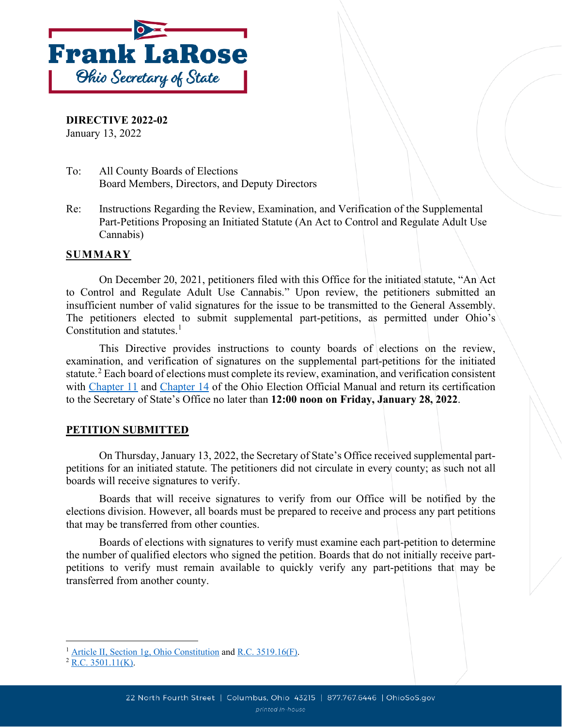

**DIRECTIVE 2022-02** January 13, 2022

- To: All County Boards of Elections Board Members, Directors, and Deputy Directors
- Re: Instructions Regarding the Review, Examination, and Verification of the Supplemental Part-Petitions Proposing an Initiated Statute (An Act to Control and Regulate Adult Use Cannabis)

#### **SUMMARY**

On December 20, 2021, petitioners filed with this Office for the initiated statute, "An Act to Control and Regulate Adult Use Cannabis." Upon review, the petitioners submitted an insufficient number of valid signatures for the issue to be transmitted to the General Assembly. The petitioners elected to submit supplemental part-petitions, as permitted under Ohio's Constitution and statutes.<sup>[1](#page-0-0)</sup>

This Directive provides instructions to county boards of elections on the review, examination, and verification of signatures on the supplemental part-petitions for the initiated statute.<sup>[2](#page-0-1)</sup> Each board of elections must complete its review, examination, and verification consistent with [Chapter 11](https://www.sos.state.oh.us/globalassets/elections/directives/2021/eom/eom_ch11_2021-02.pdf) and [Chapter 14](https://www.sos.state.oh.us/globalassets/elections/directives/2021/eom/eom_ch14_2021-02.pdf) of the Ohio Election Official Manual and return its certification to the Secretary of State's Office no later than **12:00 noon on Friday, January 28, 2022**.

#### **PETITION SUBMITTED**

On Thursday, January 13, 2022, the Secretary of State's Office received supplemental partpetitions for an initiated statute. The petitioners did not circulate in every county; as such not all boards will receive signatures to verify.

Boards that will receive signatures to verify from our Office will be notified by the elections division. However, all boards must be prepared to receive and process any part petitions that may be transferred from other counties.

Boards of elections with signatures to verify must examine each part-petition to determine the number of qualified electors who signed the petition. Boards that do not initially receive partpetitions to verify must remain available to quickly verify any part-petitions that may be transferred from another county.

<span id="page-0-0"></span><sup>&</sup>lt;sup>1</sup> [Article II, Section 1g,](https://codes.ohio.gov/ohio-constitution/section-2.1g) Ohio Constitution an[d R.C. 3519.16\(F\).](https://codes.ohio.gov/ohio-revised-code/section-3519.16)

<span id="page-0-1"></span> $2$  [R.C. 3501.11\(K\).](https://codes.ohio.gov/ohio-revised-code/section-3501.11)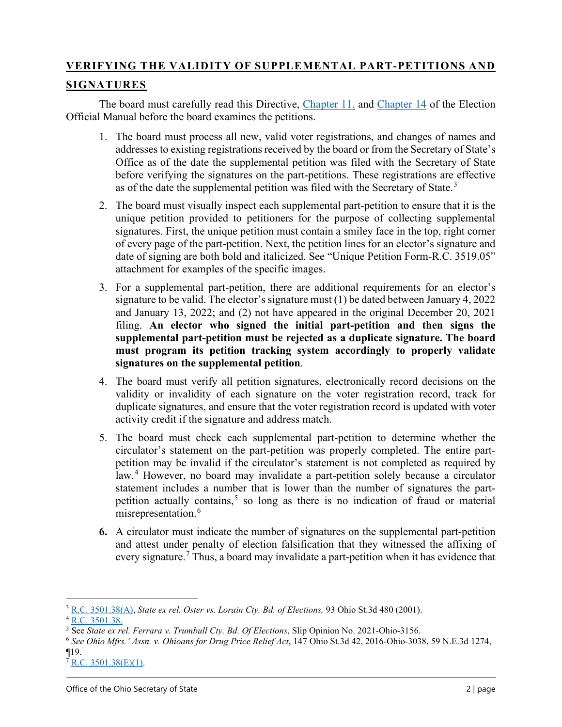# **VERIFYING THE VALIDITY OF SUPPLEMENTAL PART-PETITIONS AND**

# **SIGNATURES**

The board must carefully read this Directive, [Chapter 11,](https://www.sos.state.oh.us/globalassets/elections/directives/2021/eom/eom_ch11_2021-02.pdf) and [Chapter 14](https://www.sos.state.oh.us/globalassets/elections/directives/2021/eom/eom_ch14_2021-02.pdf) of the Election Official Manual before the board examines the petitions.

- 1. The board must process all new, valid voter registrations, and changes of names and addresses to existing registrations received by the board or from the Secretary of State's Office as of the date the supplemental petition was filed with the Secretary of State before verifying the signatures on the part-petitions. These registrations are effective as of the date the supplemental petition was filed with the Secretary of State.<sup>[3](#page-1-0)</sup>
- 2. The board must visually inspect each supplemental part-petition to ensure that it is the unique petition provided to petitioners for the purpose of collecting supplemental signatures. First, the unique petition must contain a smiley face in the top, right corner of every page of the part-petition. Next, the petition lines for an elector's signature and date of signing are both bold and italicized. See "Unique Petition Form-R.C. 3519.05" attachment for examples of the specific images.
- 3. For a supplemental part-petition, there are additional requirements for an elector's signature to be valid. The elector's signature must (1) be dated between January 4, 2022 and January 13, 2022; and (2) not have appeared in the original December 20, 2021 filing. **An elector who signed the initial part-petition and then signs the supplemental part-petition must be rejected as a duplicate signature. The board must program its petition tracking system accordingly to properly validate signatures on the supplemental petition**.
- 4. The board must verify all petition signatures, electronically record decisions on the validity or invalidity of each signature on the voter registration record, track for duplicate signatures, and ensure that the voter registration record is updated with voter activity credit if the signature and address match.
- 5. The board must check each supplemental part-petition to determine whether the circulator's statement on the part-petition was properly completed. The entire partpetition may be invalid if the circulator's statement is not completed as required by law.<sup>[4](#page-1-1)</sup> However, no board may invalidate a part-petition solely because a circulator statement includes a number that is lower than the number of signatures the partpetition actually contains, [5](#page-1-2) so long as there is no indication of fraud or material misrepresentation.<sup>[6](#page-1-3)</sup>
- **6.** A circulator must indicate the number of signatures on the supplemental part-petition and attest under penalty of election falsification that they witnessed the affixing of every signature.<sup>[7](#page-1-4)</sup> Thus, a board may invalidate a part-petition when it has evidence that

<span id="page-1-0"></span><sup>3</sup> [R.C. 3501.38\(A\),](http://codes.ohio.gov/orc/3501.38) *State ex rel. Oster vs. Lorain Cty. Bd. of Elections,* 93 Ohio St.3d 480 (2001). <sup>4</sup> [R.C. 3501.38.](http://codes.ohio.gov/orc/3501.38)

<span id="page-1-2"></span><span id="page-1-1"></span><sup>5</sup> See *State ex rel. Ferrara v. Trumbull Cty. Bd. Of Elections*, Slip Opinion No. 2021-Ohio-3156.

<span id="page-1-3"></span><sup>6</sup> *See Ohio Mfrs.' Assn. v. Ohioans for Drug Price Relief Act*, 147 Ohio St.3d 42, 2016-Ohio-3038, 59 N.E.3d 1274, ¶19.

<span id="page-1-4"></span> $7 R.C. 3501.38(E)(1)$ .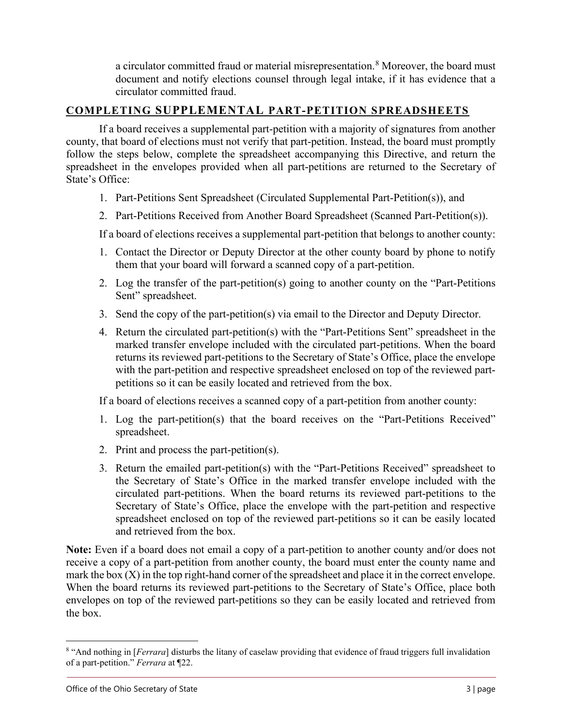a circulator committed fraud or material misrepresentation.<sup>[8](#page-2-0)</sup> Moreover, the board must document and notify elections counsel through legal intake, if it has evidence that a circulator committed fraud.

## **COMPLETING SUPPLEMENTAL PART-PETITION SPREADSHEETS**

If a board receives a supplemental part-petition with a majority of signatures from another county, that board of elections must not verify that part-petition. Instead, the board must promptly follow the steps below, complete the spreadsheet accompanying this Directive, and return the spreadsheet in the envelopes provided when all part-petitions are returned to the Secretary of State's Office:

- 1. Part-Petitions Sent Spreadsheet (Circulated Supplemental Part-Petition(s)), and
- 2. Part-Petitions Received from Another Board Spreadsheet (Scanned Part-Petition(s)).

If a board of elections receives a supplemental part-petition that belongs to another county:

- 1. Contact the Director or Deputy Director at the other county board by phone to notify them that your board will forward a scanned copy of a part-petition.
- 2. Log the transfer of the part-petition(s) going to another county on the "Part-Petitions Sent" spreadsheet.
- 3. Send the copy of the part-petition(s) via email to the Director and Deputy Director.
- 4. Return the circulated part-petition(s) with the "Part-Petitions Sent" spreadsheet in the marked transfer envelope included with the circulated part-petitions. When the board returns its reviewed part-petitions to the Secretary of State's Office, place the envelope with the part-petition and respective spreadsheet enclosed on top of the reviewed partpetitions so it can be easily located and retrieved from the box.

If a board of elections receives a scanned copy of a part-petition from another county:

- 1. Log the part-petition(s) that the board receives on the "Part-Petitions Received" spreadsheet.
- 2. Print and process the part-petition(s).
- 3. Return the emailed part-petition(s) with the "Part-Petitions Received" spreadsheet to the Secretary of State's Office in the marked transfer envelope included with the circulated part-petitions. When the board returns its reviewed part-petitions to the Secretary of State's Office, place the envelope with the part-petition and respective spreadsheet enclosed on top of the reviewed part-petitions so it can be easily located and retrieved from the box.

**Note:** Even if a board does not email a copy of a part-petition to another county and/or does not receive a copy of a part-petition from another county, the board must enter the county name and mark the box  $(X)$  in the top right-hand corner of the spreadsheet and place it in the correct envelope. When the board returns its reviewed part-petitions to the Secretary of State's Office, place both envelopes on top of the reviewed part-petitions so they can be easily located and retrieved from the box.

<span id="page-2-0"></span><sup>8</sup> "And nothing in [*Ferrara*] disturbs the litany of caselaw providing that evidence of fraud triggers full invalidation of a part-petition." *Ferrara* at ¶22.